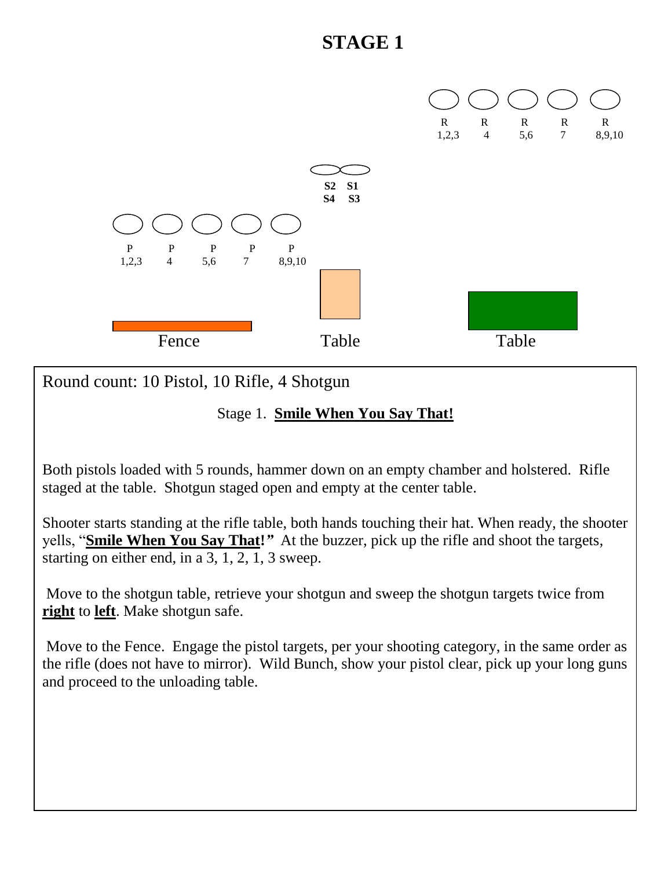

Round count: 10 Pistol, 10 Rifle, 4 Shotgun

#### Stage 1. **Smile When You Say That!**

Both pistols loaded with 5 rounds, hammer down on an empty chamber and holstered. Rifle staged at the table. Shotgun staged open and empty at the center table.

Shooter starts standing at the rifle table, both hands touching their hat. When ready, the shooter yells, "**Smile When You Say That!***"* At the buzzer, pick up the rifle and shoot the targets, starting on either end, in a 3, 1, 2, 1, 3 sweep.

Move to the shotgun table, retrieve your shotgun and sweep the shotgun targets twice from **right** to **left**. Make shotgun safe.

Move to the Fence. Engage the pistol targets, per your shooting category, in the same order as the rifle (does not have to mirror). Wild Bunch, show your pistol clear, pick up your long guns and proceed to the unloading table.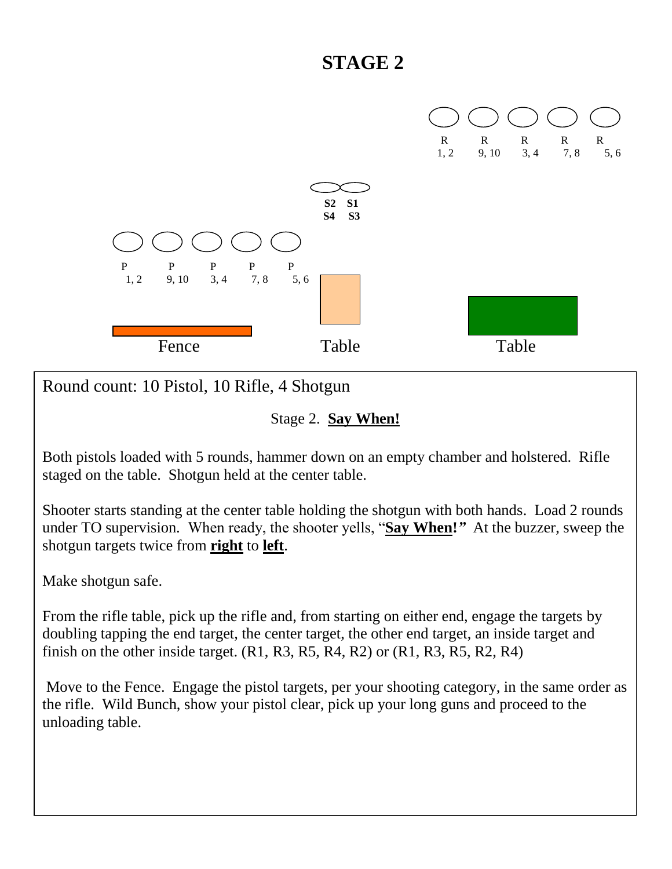

Round count: 10 Pistol, 10 Rifle, 4 Shotgun

Stage 2. **Say When!**

Both pistols loaded with 5 rounds, hammer down on an empty chamber and holstered. Rifle staged on the table. Shotgun held at the center table.

Shooter starts standing at the center table holding the shotgun with both hands. Load 2 rounds under TO supervision. When ready, the shooter yells, "**Say When!***"* At the buzzer, sweep the shotgun targets twice from **right** to **left**.

Make shotgun safe.

From the rifle table, pick up the rifle and, from starting on either end, engage the targets by doubling tapping the end target, the center target, the other end target, an inside target and finish on the other inside target.  $(R1, R3, R5, R4, R2)$  or  $(R1, R3, R5, R2, R4)$ 

Move to the Fence. Engage the pistol targets, per your shooting category, in the same order as the rifle. Wild Bunch, show your pistol clear, pick up your long guns and proceed to the unloading table.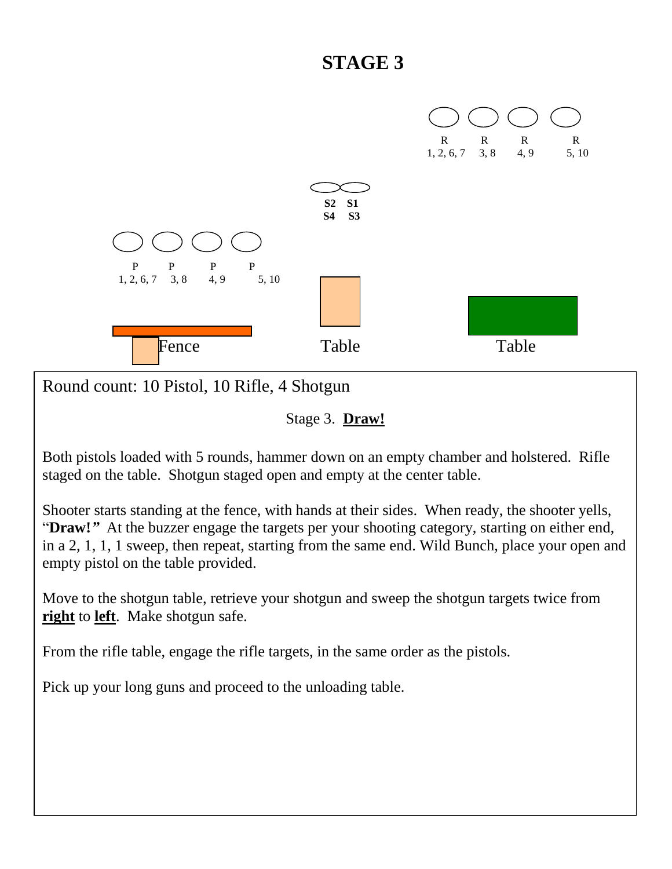

Round count: 10 Pistol, 10 Rifle, 4 Shotgun

Stage 3. **Draw!**

Both pistols loaded with 5 rounds, hammer down on an empty chamber and holstered. Rifle staged on the table. Shotgun staged open and empty at the center table.

Shooter starts standing at the fence, with hands at their sides. When ready, the shooter yells, "**Draw!***"* At the buzzer engage the targets per your shooting category, starting on either end, in a 2, 1, 1, 1 sweep, then repeat, starting from the same end. Wild Bunch, place your open and empty pistol on the table provided.

Move to the shotgun table, retrieve your shotgun and sweep the shotgun targets twice from **right** to **left**. Make shotgun safe.

From the rifle table, engage the rifle targets, in the same order as the pistols.

Pick up your long guns and proceed to the unloading table.